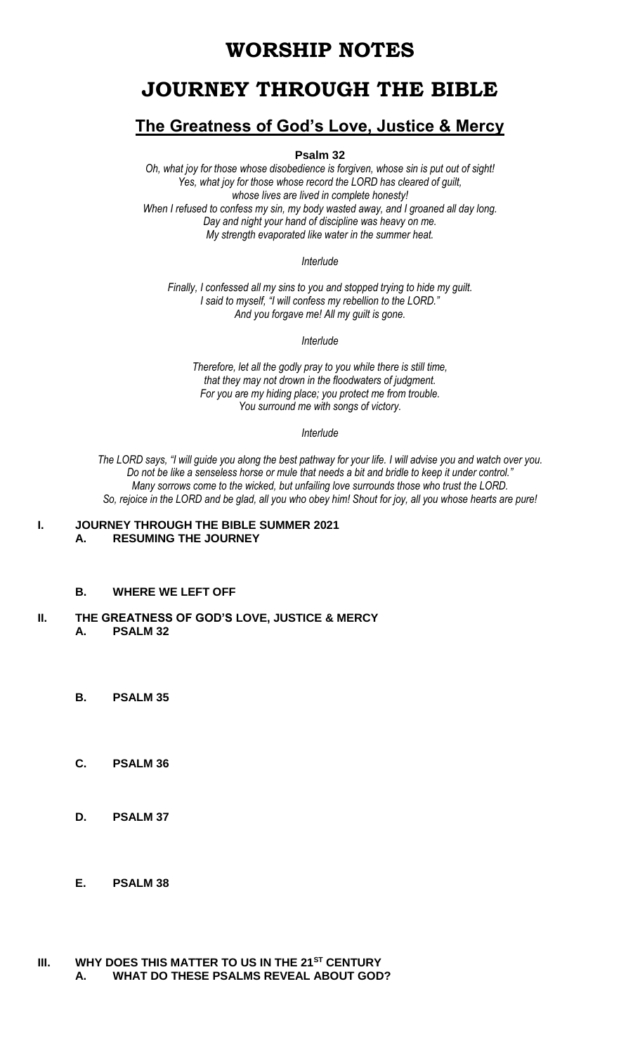# **WORSHIP NOTES**

# **JOURNEY THROUGH THE BIBLE**

## **The Greatness of God's Love, Justice & Mercy**

**Psalm 32**

*Oh, what joy for those whose disobedience is forgiven, whose sin is put out of sight! Yes, what joy for those whose record the LORD has cleared of guilt, whose lives are lived in complete honesty! When I refused to confess my sin, my body wasted away, and I groaned all day long. Day and night your hand of discipline was heavy on me. My strength evaporated like water in the summer heat.*

*Interlude*

*Finally, I confessed all my sins to you and stopped trying to hide my guilt. I said to myself, "I will confess my rebellion to the LORD." And you forgave me! All my guilt is gone.*

*Interlude*

*Therefore, let all the godly pray to you while there is still time, that they may not drown in the floodwaters of judgment. For you are my hiding place; you protect me from trouble. You surround me with songs of victory.*

*Interlude*

*The LORD says, "I will guide you along the best pathway for your life. I will advise you and watch over you. Do not be like a senseless horse or mule that needs a bit and bridle to keep it under control." Many sorrows come to the wicked, but unfailing love surrounds those who trust the LORD. So, rejoice in the LORD and be glad, all you who obey him! Shout for joy, all you whose hearts are pure!*

#### **I. JOURNEY THROUGH THE BIBLE SUMMER 2021 A. RESUMING THE JOURNEY**

- **B. WHERE WE LEFT OFF**
- **II. THE GREATNESS OF GOD'S LOVE, JUSTICE & MERCY A. PSALM 32**
	- **B. PSALM 35**
	- **C. PSALM 36**
	- **D. PSALM 37**
	- **E. PSALM 38**
- **III. WHY DOES THIS MATTER TO US IN THE 21ST CENTURY A. WHAT DO THESE PSALMS REVEAL ABOUT GOD?**